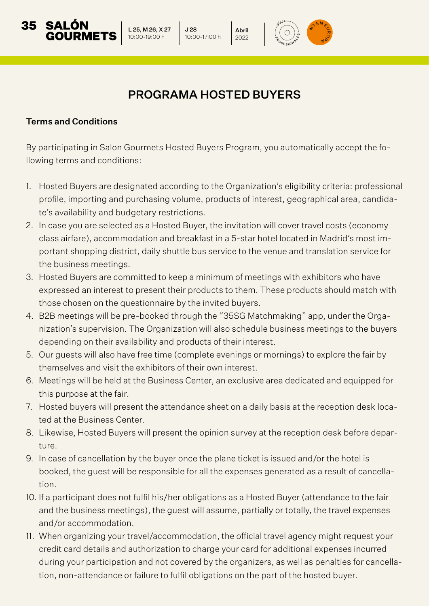## PROGRAMA HOSTED BUYERS

Abril 2022

J 28 10:00-17:00 h

L 25, M 26, X 27 10:00-19:00 h

## Terms and Conditions

35

By participating in Salon Gourmets Hosted Buyers Program, you automatically accept the following terms and conditions:

- 1. Hosted Buyers are designated according to the Organization's eligibility criteria: professional profile, importing and purchasing volume, products of interest, geographical area, candidate's availability and budgetary restrictions.
- 2. In case you are selected as a Hosted Buyer, the invitation will cover travel costs (economy class airfare), accommodation and breakfast in a 5-star hotel located in Madrid's most important shopping district, daily shuttle bus service to the venue and translation service for the business meetings.
- 3. Hosted Buyers are committed to keep a minimum of meetings with exhibitors who have expressed an interest to present their products to them. These products should match with those chosen on the questionnaire by the invited buyers.
- 4. B2B meetings will be pre-booked through the "35SG Matchmaking" app, under the Organization's supervision. The Organization will also schedule business meetings to the buyers depending on their availability and products of their interest.
- 5. Our guests will also have free time (complete evenings or mornings) to explore the fair by themselves and visit the exhibitors of their own interest.
- 6. Meetings will be held at the Business Center, an exclusive area dedicated and equipped for this purpose at the fair.
- 7. Hosted buyers will present the attendance sheet on a daily basis at the reception desk located at the Business Center.
- 8. Likewise, Hosted Buyers will present the opinion survey at the reception desk before departure.
- 9. In case of cancellation by the buyer once the plane ticket is issued and/or the hotel is booked, the guest will be responsible for all the expenses generated as a result of cancellation.
- 10. If a participant does not fulfil his/her obligations as a Hosted Buyer (attendance to the fair and the business meetings), the guest will assume, partially or totally, the travel expenses and/or accommodation.
- 11. When organizing your travel/accommodation, the official travel agency might request your credit card details and authorization to charge your card for additional expenses incurred during your participation and not covered by the organizers, as well as penalties for cancellation, non-attendance or failure to fulfil obligations on the part of the hosted buyer.